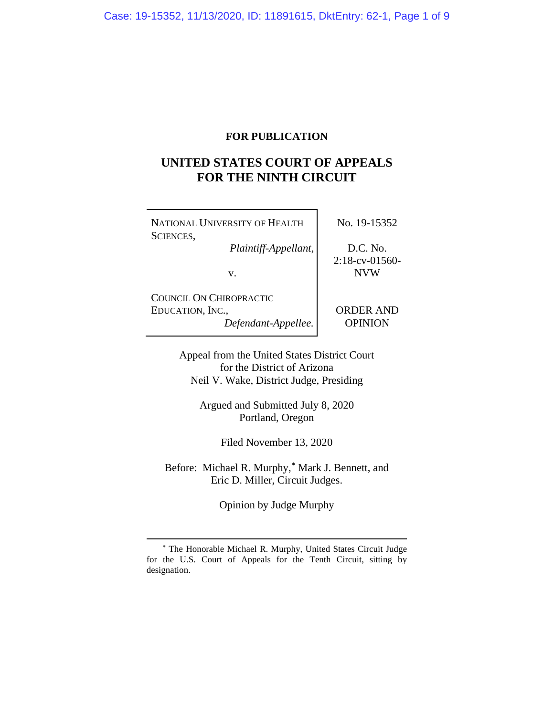### **FOR PUBLICATION**

## **UNITED STATES COURT OF APPEALS FOR THE NINTH CIRCUIT**

٦

| NATIONAL UNIVERSITY OF HEALTH                                      | No. 19-15352                  |  |
|--------------------------------------------------------------------|-------------------------------|--|
| SCIENCES,<br>Plaintiff-Appellant,                                  | D.C. No.<br>$2:18$ -cv-01560- |  |
| V.                                                                 | <b>NVW</b>                    |  |
| COUNCIL ON CHIROPRACTIC<br>EDUCATION, INC.,<br>Defendant-Appellee. | <b>ORDER AND</b><br>OPINION   |  |

Appeal from the United States District Court for the District of Arizona Neil V. Wake, District Judge, Presiding

> Argued and Submitted July 8, 2020 Portland, Oregon

> > Filed November 13, 2020

Before: Michael R. Murphy,**[\\*](#page-0-0)** Mark J. Bennett, and Eric D. Miller, Circuit Judges.

Opinion by Judge Murphy

<span id="page-0-0"></span>**<sup>\*</sup>** The Honorable Michael R. Murphy, United States Circuit Judge for the U.S. Court of Appeals for the Tenth Circuit, sitting by designation.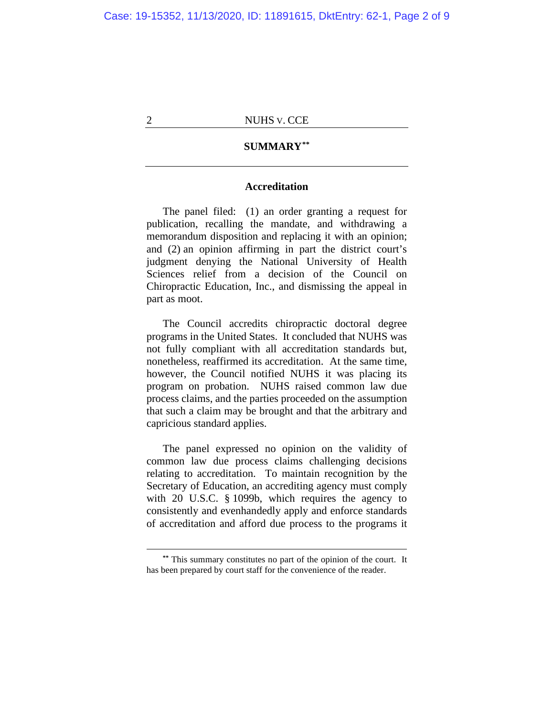### **SUMMARY[\\*\\*](#page-1-0)**

### **Accreditation**

The panel filed: (1) an order granting a request for publication, recalling the mandate, and withdrawing a memorandum disposition and replacing it with an opinion; and (2) an opinion affirming in part the district court's judgment denying the National University of Health Sciences relief from a decision of the Council on Chiropractic Education, Inc., and dismissing the appeal in part as moot.

The Council accredits chiropractic doctoral degree programs in the United States. It concluded that NUHS was not fully compliant with all accreditation standards but, nonetheless, reaffirmed its accreditation. At the same time, however, the Council notified NUHS it was placing its program on probation. NUHS raised common law due process claims, and the parties proceeded on the assumption that such a claim may be brought and that the arbitrary and capricious standard applies.

The panel expressed no opinion on the validity of common law due process claims challenging decisions relating to accreditation. To maintain recognition by the Secretary of Education, an accrediting agency must comply with 20 U.S.C. § 1099b, which requires the agency to consistently and evenhandedly apply and enforce standards of accreditation and afford due process to the programs it

<span id="page-1-0"></span>**<sup>\*\*</sup>** This summary constitutes no part of the opinion of the court. It has been prepared by court staff for the convenience of the reader.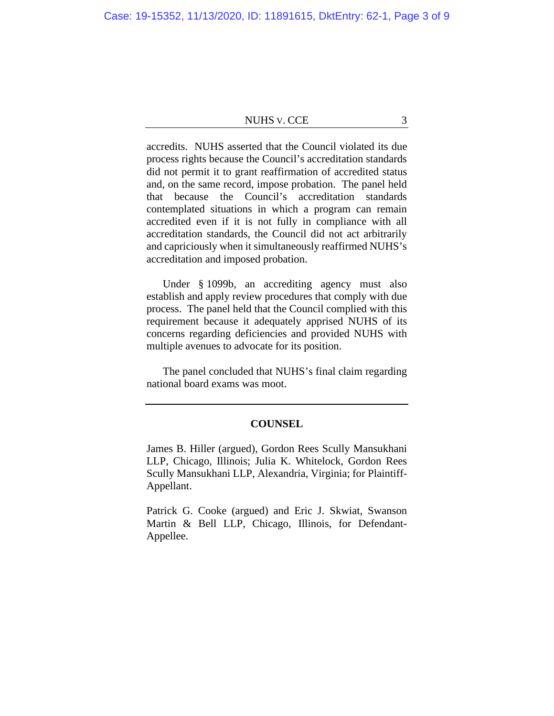accredits. NUHS asserted that the Council violated its due process rights because the Council's accreditation standards did not permit it to grant reaffirmation of accredited status and, on the same record, impose probation. The panel held that because the Council's accreditation standards contemplated situations in which a program can remain accredited even if it is not fully in compliance with all accreditation standards, the Council did not act arbitrarily and capriciously when it simultaneously reaffirmed NUHS's accreditation and imposed probation.

Under § 1099b, an accrediting agency must also establish and apply review procedures that comply with due process. The panel held that the Council complied with this requirement because it adequately apprised NUHS of its concerns regarding deficiencies and provided NUHS with multiple avenues to advocate for its position.

The panel concluded that NUHS's final claim regarding national board exams was moot.

#### **COUNSEL**

James B. Hiller (argued), Gordon Rees Scully Mansukhani LLP, Chicago, Illinois; Julia K. Whitelock, Gordon Rees Scully Mansukhani LLP, Alexandria, Virginia; for Plaintiff-Appellant.

Patrick G. Cooke (argued) and Eric J. Skwiat, Swanson Martin & Bell LLP, Chicago, Illinois, for Defendant-Appellee.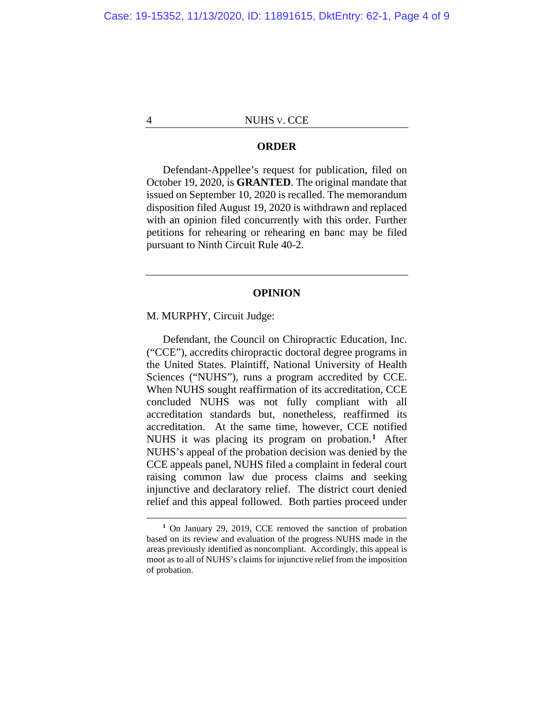### **ORDER**

Defendant-Appellee's request for publication, filed on October 19, 2020, is **GRANTED**. The original mandate that issued on September 10, 2020 is recalled. The memorandum disposition filed August 19, 2020 is withdrawn and replaced with an opinion filed concurrently with this order. Further petitions for rehearing or rehearing en banc may be filed pursuant to Ninth Circuit Rule 40-2.

#### **OPINION**

M. MURPHY, Circuit Judge:

Defendant, the Council on Chiropractic Education, Inc. ("CCE"), accredits chiropractic doctoral degree programs in the United States. Plaintiff, National University of Health Sciences ("NUHS"), runs a program accredited by CCE. When NUHS sought reaffirmation of its accreditation, CCE concluded NUHS was not fully compliant with all accreditation standards but, nonetheless, reaffirmed its accreditation. At the same time, however, CCE notified NUHS it was placing its program on probation.**[1](#page-3-0)** After NUHS's appeal of the probation decision was denied by the CCE appeals panel, NUHS filed a complaint in federal court raising common law due process claims and seeking injunctive and declaratory relief. The district court denied relief and this appeal followed. Both parties proceed under

<span id="page-3-0"></span>**<sup>1</sup>** On January 29, 2019, CCE removed the sanction of probation based on its review and evaluation of the progress NUHS made in the areas previously identified as noncompliant. Accordingly, this appeal is moot as to all of NUHS's claims for injunctive relief from the imposition of probation.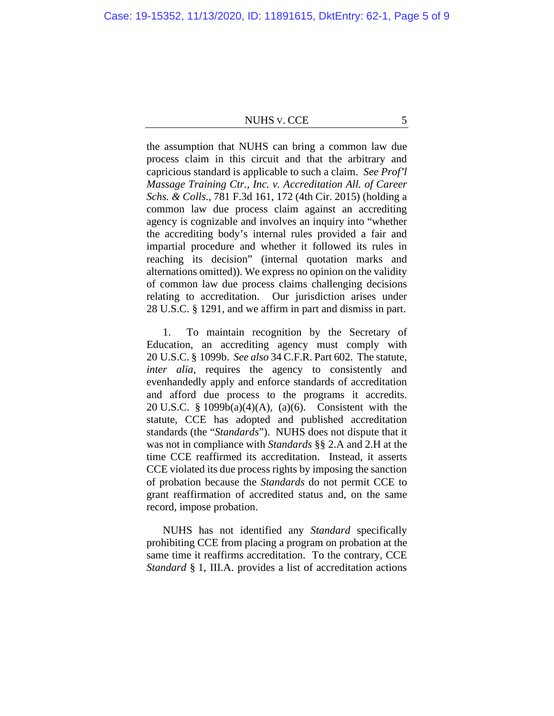the assumption that NUHS can bring a common law due process claim in this circuit and that the arbitrary and capricious standard is applicable to such a claim. *See Prof'l Massage Training Ctr., Inc. v. Accreditation All. of Career Schs. & Colls*., 781 F.3d 161, 172 (4th Cir. 2015) (holding a common law due process claim against an accrediting agency is cognizable and involves an inquiry into "whether the accrediting body's internal rules provided a fair and impartial procedure and whether it followed its rules in reaching its decision" (internal quotation marks and alternations omitted)). We express no opinion on the validity of common law due process claims challenging decisions relating to accreditation. Our jurisdiction arises under 28 U.S.C. § 1291, and we affirm in part and dismiss in part.

1. To maintain recognition by the Secretary of Education, an accrediting agency must comply with 20 U.S.C. § 1099b. *See also* 34 C.F.R. Part 602. The statute, *inter alia*, requires the agency to consistently and evenhandedly apply and enforce standards of accreditation and afford due process to the programs it accredits. 20 U.S.C. § 1099b(a)(4)(A), (a)(6). Consistent with the statute, CCE has adopted and published accreditation standards (the "*Standards*"). NUHS does not dispute that it was not in compliance with *Standards* §§ 2.A and 2.H at the time CCE reaffirmed its accreditation. Instead, it asserts CCE violated its due process rights by imposing the sanction of probation because the *Standards* do not permit CCE to grant reaffirmation of accredited status and, on the same record, impose probation.

NUHS has not identified any *Standard* specifically prohibiting CCE from placing a program on probation at the same time it reaffirms accreditation. To the contrary, CCE *Standard* § 1, III.A. provides a list of accreditation actions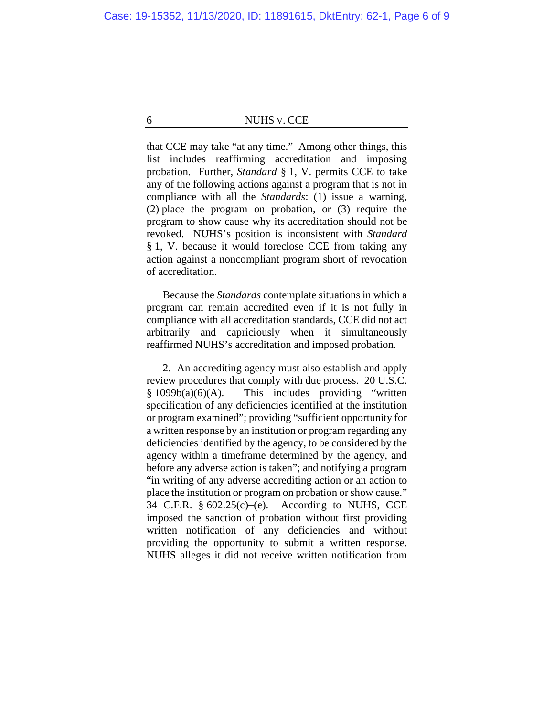that CCE may take "at any time." Among other things, this list includes reaffirming accreditation and imposing probation. Further, *Standard* § 1, V. permits CCE to take any of the following actions against a program that is not in compliance with all the *Standards*: (1) issue a warning, (2) place the program on probation, or (3) require the program to show cause why its accreditation should not be revoked. NUHS's position is inconsistent with *Standard*  § 1, V. because it would foreclose CCE from taking any action against a noncompliant program short of revocation of accreditation.

Because the *Standards* contemplate situations in which a program can remain accredited even if it is not fully in compliance with all accreditation standards, CCE did not act arbitrarily and capriciously when it simultaneously reaffirmed NUHS's accreditation and imposed probation.

2. An accrediting agency must also establish and apply review procedures that comply with due process. 20 U.S.C.  $§ 1099b(a)(6)(A)$ . This includes providing "written specification of any deficiencies identified at the institution or program examined"; providing "sufficient opportunity for a written response by an institution or program regarding any deficiencies identified by the agency, to be considered by the agency within a timeframe determined by the agency, and before any adverse action is taken"; and notifying a program "in writing of any adverse accrediting action or an action to place the institution or program on probation or show cause." 34 C.F.R. § 602.25(c)–(e). According to NUHS, CCE imposed the sanction of probation without first providing written notification of any deficiencies and without providing the opportunity to submit a written response. NUHS alleges it did not receive written notification from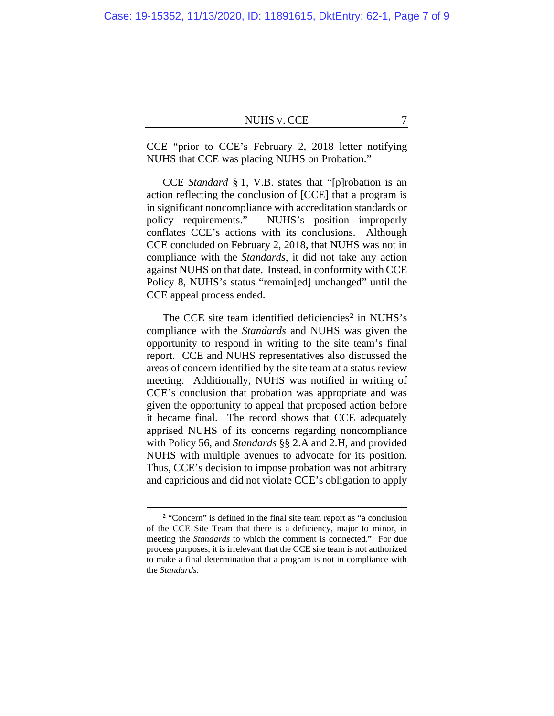CCE "prior to CCE's February 2, 2018 letter notifying NUHS that CCE was placing NUHS on Probation."

CCE *Standard* § 1, V.B. states that "[p]robation is an action reflecting the conclusion of [CCE] that a program is in significant noncompliance with accreditation standards or policy requirements." NUHS's position improperly conflates CCE's actions with its conclusions. Although CCE concluded on February 2, 2018, that NUHS was not in compliance with the *Standards*, it did not take any action against NUHS on that date. Instead, in conformity with CCE Policy 8, NUHS's status "remain[ed] unchanged" until the CCE appeal process ended.

The CCE site team identified deficiencies**[2](#page-6-0)** in NUHS's compliance with the *Standards* and NUHS was given the opportunity to respond in writing to the site team's final report. CCE and NUHS representatives also discussed the areas of concern identified by the site team at a status review meeting. Additionally, NUHS was notified in writing of CCE's conclusion that probation was appropriate and was given the opportunity to appeal that proposed action before it became final. The record shows that CCE adequately apprised NUHS of its concerns regarding noncompliance with Policy 56, and *Standards* §§ 2.A and 2.H, and provided NUHS with multiple avenues to advocate for its position. Thus, CCE's decision to impose probation was not arbitrary and capricious and did not violate CCE's obligation to apply

<span id="page-6-0"></span>**<sup>2</sup>** "Concern" is defined in the final site team report as "a conclusion of the CCE Site Team that there is a deficiency, major to minor, in meeting the *Standards* to which the comment is connected." For due process purposes, it is irrelevant that the CCE site team is not authorized to make a final determination that a program is not in compliance with the *Standards*.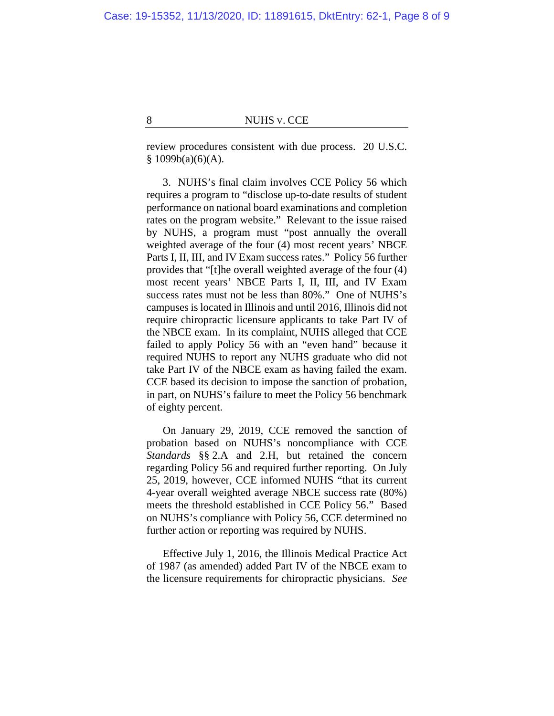review procedures consistent with due process. 20 U.S.C.  $§ 1099b(a)(6)(A).$ 

3. NUHS's final claim involves CCE Policy 56 which requires a program to "disclose up-to-date results of student performance on national board examinations and completion rates on the program website." Relevant to the issue raised by NUHS, a program must "post annually the overall weighted average of the four (4) most recent years' NBCE Parts I, II, III, and IV Exam success rates." Policy 56 further provides that "[t]he overall weighted average of the four (4) most recent years' NBCE Parts I, II, III, and IV Exam success rates must not be less than 80%." One of NUHS's campuses is located in Illinois and until 2016, Illinois did not require chiropractic licensure applicants to take Part IV of the NBCE exam. In its complaint, NUHS alleged that CCE failed to apply Policy 56 with an "even hand" because it required NUHS to report any NUHS graduate who did not take Part IV of the NBCE exam as having failed the exam. CCE based its decision to impose the sanction of probation, in part, on NUHS's failure to meet the Policy 56 benchmark of eighty percent.

On January 29, 2019, CCE removed the sanction of probation based on NUHS's noncompliance with CCE *Standards* §§ 2.A and 2.H, but retained the concern regarding Policy 56 and required further reporting. On July 25, 2019, however, CCE informed NUHS "that its current 4-year overall weighted average NBCE success rate (80%) meets the threshold established in CCE Policy 56." Based on NUHS's compliance with Policy 56, CCE determined no further action or reporting was required by NUHS.

Effective July 1, 2016, the Illinois Medical Practice Act of 1987 (as amended) added Part IV of the NBCE exam to the licensure requirements for chiropractic physicians. *See*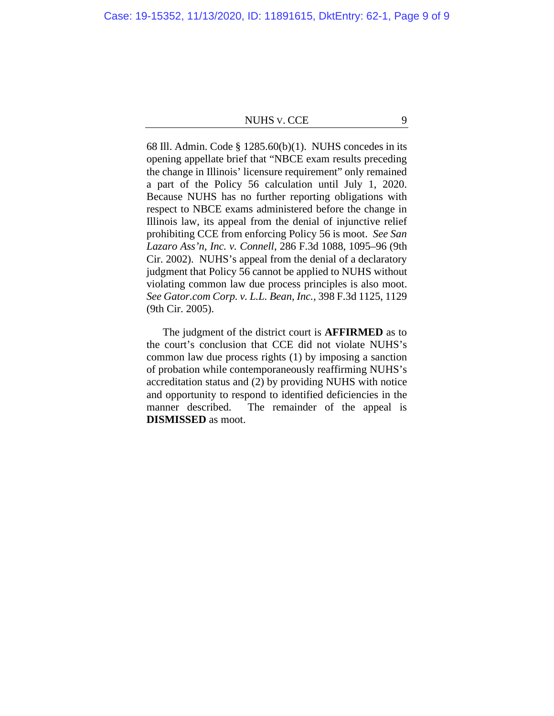68 Ill. Admin. Code § 1285.60(b)(1). NUHS concedes in its opening appellate brief that "NBCE exam results preceding the change in Illinois' licensure requirement" only remained a part of the Policy 56 calculation until July 1, 2020. Because NUHS has no further reporting obligations with respect to NBCE exams administered before the change in Illinois law, its appeal from the denial of injunctive relief prohibiting CCE from enforcing Policy 56 is moot. *See San Lazaro Ass'n, Inc. v. Connell*, 286 F.3d 1088, 1095–96 (9th Cir. 2002). NUHS's appeal from the denial of a declaratory judgment that Policy 56 cannot be applied to NUHS without violating common law due process principles is also moot. *See Gator.com Corp. v. L.L. Bean, Inc.*, 398 F.3d 1125, 1129 (9th Cir. 2005).

The judgment of the district court is **AFFIRMED** as to the court's conclusion that CCE did not violate NUHS's common law due process rights (1) by imposing a sanction of probation while contemporaneously reaffirming NUHS's accreditation status and (2) by providing NUHS with notice and opportunity to respond to identified deficiencies in the manner described. The remainder of the appeal is **DISMISSED** as moot.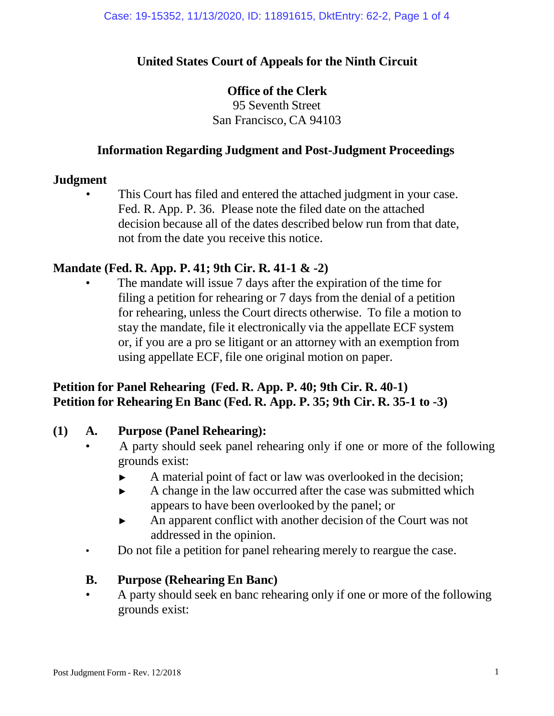## **United States Court of Appeals for the Ninth Circuit**

## **Office of the Clerk**

95 Seventh Street San Francisco, CA 94103

## **Information Regarding Judgment and Post-Judgment Proceedings**

### **Judgment**

This Court has filed and entered the attached judgment in your case. Fed. R. App. P. 36. Please note the filed date on the attached decision because all of the dates described below run from that date, not from the date you receive this notice.

## **Mandate (Fed. R. App. P. 41; 9th Cir. R. 41-1 & -2)**

The mandate will issue 7 days after the expiration of the time for filing a petition for rehearing or 7 days from the denial of a petition for rehearing, unless the Court directs otherwise. To file a motion to stay the mandate, file it electronically via the appellate ECF system or, if you are a pro se litigant or an attorney with an exemption from using appellate ECF, file one original motion on paper.

# **Petition for Panel Rehearing (Fed. R. App. P. 40; 9th Cir. R. 40-1) Petition for Rehearing En Banc (Fed. R. App. P. 35; 9th Cir. R. 35-1 to -3)**

## **(1) A. Purpose (Panel Rehearing):**

- A party should seek panel rehearing only if one or more of the following grounds exist:
	- ► A material point of fact or law was overlooked in the decision;
	- ► A change in the law occurred after the case was submitted which appears to have been overlooked by the panel; or
	- ► An apparent conflict with another decision of the Court was not addressed in the opinion.
- Do not file a petition for panel rehearing merely to reargue the case.

## **B. Purpose (Rehearing En Banc)**

• A party should seek en banc rehearing only if one or more of the following grounds exist: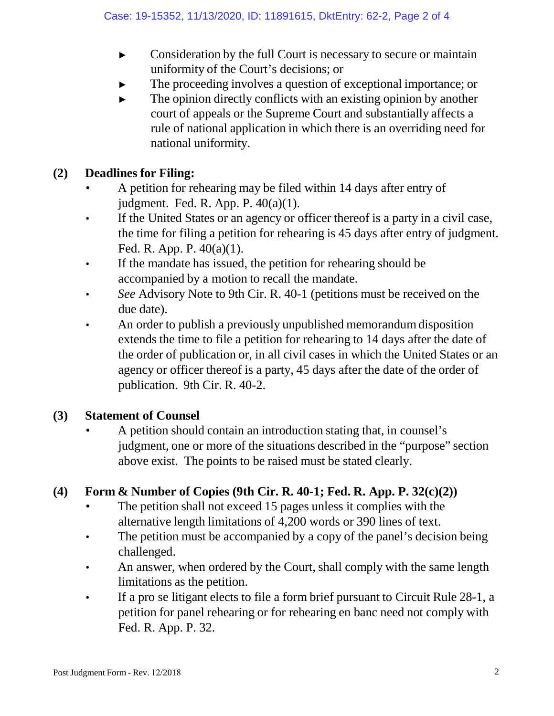- ► Consideration by the full Court is necessary to secure or maintain uniformity of the Court's decisions; or
- The proceeding involves a question of exceptional importance; or
- $\blacktriangleright$  The opinion directly conflicts with an existing opinion by another court of appeals or the Supreme Court and substantially affects a rule of national application in which there is an overriding need for national uniformity.

## **(2) Deadlines for Filing:**

- A petition for rehearing may be filed within 14 days after entry of judgment. Fed. R. App. P. 40(a)(1).
- If the United States or an agency or officer thereof is a party in a civil case, the time for filing a petition for rehearing is 45 days after entry of judgment. Fed. R. App. P. 40(a)(1).
- If the mandate has issued, the petition for rehearing should be accompanied by a motion to recall the mandate.
- *See* Advisory Note to 9th Cir. R. 40-1 (petitions must be received on the due date).
- An order to publish a previously unpublished memorandum disposition extends the time to file a petition for rehearing to 14 days after the date of the order of publication or, in all civil cases in which the United States or an agency or officer thereof is a party, 45 days after the date of the order of publication. 9th Cir. R. 40-2.

## **(3) Statement of Counsel**

• A petition should contain an introduction stating that, in counsel's judgment, one or more of the situations described in the "purpose" section above exist. The points to be raised must be stated clearly.

# **(4) Form & Number of Copies (9th Cir. R. 40-1; Fed. R. App. P. 32(c)(2))**

- The petition shall not exceed 15 pages unless it complies with the alternative length limitations of 4,200 words or 390 lines of text.
- The petition must be accompanied by a copy of the panel's decision being challenged.
- An answer, when ordered by the Court, shall comply with the same length limitations as the petition.
- If a pro se litigant elects to file a form brief pursuant to Circuit Rule 28-1, a petition for panel rehearing or for rehearing en banc need not comply with Fed. R. App. P. 32.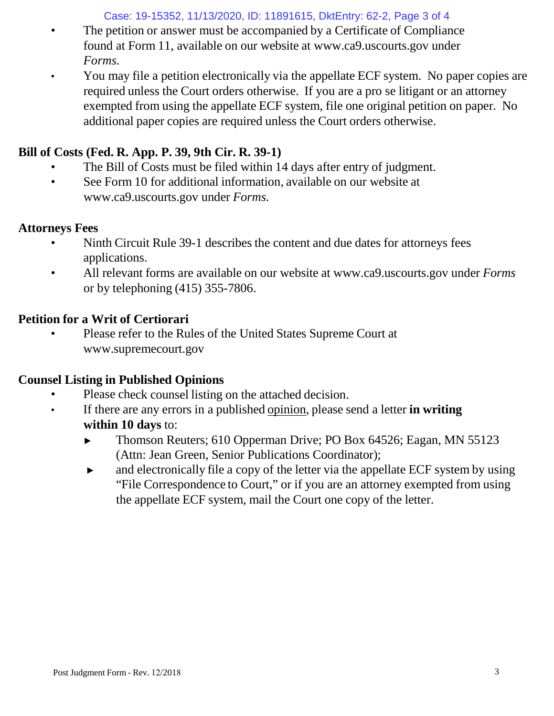Case: 19-15352, 11/13/2020, ID: 11891615, DktEntry: 62-2, Page 3 of 4

- The petition or answer must be accompanied by a Certificate of Compliance found at Form 11, available on our website [at www.ca9.uscourts.gov](http://www.ca9.uscourts.gov/) under *Forms.*
- You may file a petition electronically via the appellate ECF system. No paper copies are required unless the Court orders otherwise. If you are a pro se litigant or an attorney exempted from using the appellate ECF system, file one original petition on paper. No additional paper copies are required unless the Court orders otherwise.

# **Bill of Costs (Fed. R. App. P. 39, 9th Cir. R. 39-1)**

- The Bill of Costs must be filed within 14 days after entry of judgment.
- See Form 10 for addi[t](http://www.ca9.uscourts.gov/)ional information, available on our website at [www.ca9.uscourts.gov](http://www.ca9.uscourts.gov/) under *Forms.*

## **Attorneys Fees**

- Ninth Circuit Rule 39-1 describes the content and due dates for attorneys fees applications.
- All relevant forms are available on our website at [www.ca9.uscourts.gov](http://www.ca9.uscourts.gov/) under *Forms* or by telephoning (415) 355-7806.

# **Petition for a Writ of Certiorari**

• Please refer to the Rules of the United States Supreme Court a[t](http://www.supremecourt.gov/) [www.supremecourt.gov](http://www.supremecourt.gov/)

# **Counsel Listing in Published Opinions**

- Please check counsel listing on the attached decision.
- If there are any errors in a published opinion, please send a letter **in writing within 10 days** to:
	- ► Thomson Reuters; 610 Opperman Drive; PO Box 64526; Eagan, MN 55123 (Attn: Jean Green, Senior Publications Coordinator);
	- ► and electronically file a copy of the letter via the appellate ECF system by using "File Correspondence to Court," or if you are an attorney exempted from using the appellate ECF system, mail the Court one copy of the letter.